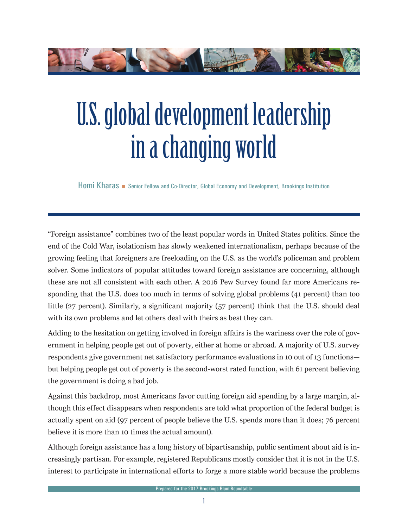

# U.S. global development leadership in a changing world

Homi Kharas **Senior Fellow and Co-Director, Global Economy and Development, Brookings Institution** 

"Foreign assistance" combines two of the least popular words in United States politics. Since the end of the Cold War, isolationism has slowly weakened internationalism, perhaps because of the growing feeling that foreigners are freeloading on the U.S. as the world's policeman and problem solver. Some indicators of popular attitudes toward foreign assistance are concerning, although these are not all consistent with each other. A 2016 Pew Survey found far more Americans responding that the U.S. does too much in terms of solving global problems (41 percent) than too little (27 percent). Similarly, a significant majority (57 percent) think that the U.S. should deal with its own problems and let others deal with theirs as best they can.

Adding to the hesitation on getting involved in foreign affairs is the wariness over the role of government in helping people get out of poverty, either at home or abroad. A majority of U.S. survey respondents give government net satisfactory performance evaluations in 10 out of 13 functions but helping people get out of poverty is the second-worst rated function, with 61 percent believing the government is doing a bad job.

Against this backdrop, most Americans favor cutting foreign aid spending by a large margin, although this effect disappears when respondents are told what proportion of the federal budget is actually spent on aid (97 percent of people believe the U.S. spends more than it does; 76 percent believe it is more than 10 times the actual amount).

Although foreign assistance has a long history of bipartisanship, public sentiment about aid is increasingly partisan. For example, registered Republicans mostly consider that it is not in the U.S. interest to participate in international efforts to forge a more stable world because the problems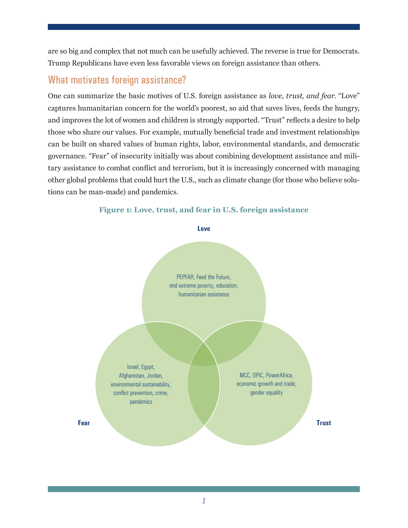are so big and complex that not much can be usefully achieved. The reverse is true for Democrats. Trump Republicans have even less favorable views on foreign assistance than others.

### What motivates foreign assistance?

One can summarize the basic motives of U.S. foreign assistance as *love, trust, and fear*. "Love" captures humanitarian concern for the world's poorest, so aid that saves lives, feeds the hungry, and improves the lot of women and children is strongly supported. "Trust" reflects a desire to help those who share our values. For example, mutually beneficial trade and investment relationships can be built on shared values of human rights, labor, environmental standards, and democratic governance. "Fear" of insecurity initially was about combining development assistance and military assistance to combat conflict and terrorism, but it is increasingly concerned with managing other global problems that could hurt the U.S., such as climate change (for those who believe solutions can be man-made) and pandemics.

#### **Figure 1: Love, trust, and fear in U.S. foreign assistance**

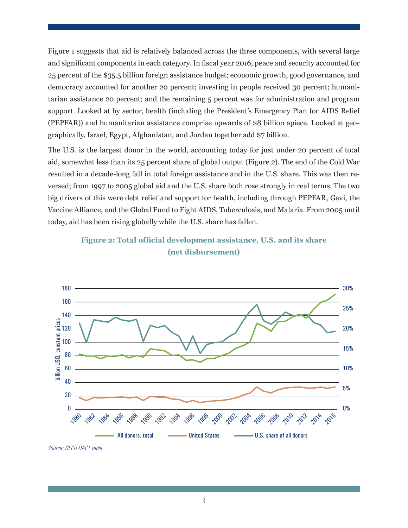Figure 1 suggests that aid is relatively balanced across the three components, with several large and significant components in each category. In fiscal year 2016, peace and security accounted for 25 percent of the \$35.5 billion foreign assistance budget; economic growth, good governance, and democracy accounted for another 20 percent; investing in people received 30 percent; humanitarian assistance 20 percent; and the remaining 5 percent was for administration and program support. Looked at by sector, health (including the President's Emergency Plan for AIDS Relief (PEPFAR)) and humanitarian assistance comprise upwards of \$8 billion apiece. Looked at geographically, Israel, Egypt, Afghanistan, and Jordan together add \$7 billion.

The U.S. is the largest donor in the world, accounting today for just under 20 percent of total aid, somewhat less than its 25 percent share of global output (Figure 2). The end of the Cold War resulted in a decade-long fall in total foreign assistance and in the U.S. share. This was then reversed; from 1997 to 2005 global aid and the U.S. share both rose strongly in real terms. The two big drivers of this were debt relief and support for health, including through PEPFAR, Gavi, the Vaccine Alliance, and the Global Fund to Fight AIDS, Tuberculosis, and Malaria. From 2005 until today, aid has been rising globally while the U.S. share has fallen.





*Source: OECD DAC1 table*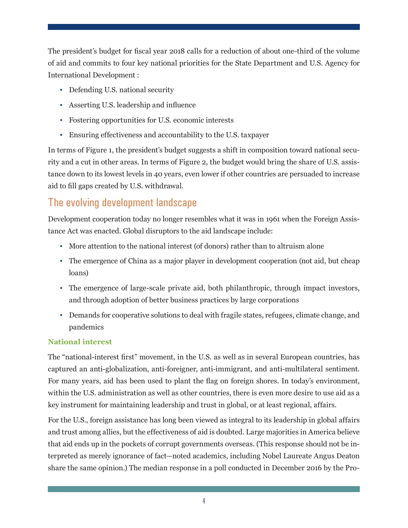The president's budget for fiscal year 2018 calls for a reduction of about one-third of the volume of aid and commits to four key national priorities for the State Department and U.S. Agency for International Development :

- Defending U.S. national security
- Asserting U.S. leadership and influence
- Fostering opportunities for U.S. economic interests
- Ensuring effectiveness and accountability to the U.S. taxpayer

In terms of Figure 1, the president's budget suggests a shift in composition toward national security and a cut in other areas. In terms of Figure 2, the budget would bring the share of U.S. assistance down to its lowest levels in 40 years, even lower if other countries are persuaded to increase aid to fill gaps created by U.S. withdrawal.

## The evolving development landscape

Development cooperation today no longer resembles what it was in 1961 when the Foreign Assistance Act was enacted. Global disruptors to the aid landscape include:

- More attention to the national interest (of donors) rather than to altruism alone
- The emergence of China as a major player in development cooperation (not aid, but cheap loans)
- The emergence of large-scale private aid, both philanthropic, through impact investors, and through adoption of better business practices by large corporations
- Demands for cooperative solutions to deal with fragile states, refugees, climate change, and pandemics

#### **National interest**

The "national-interest first" movement, in the U.S. as well as in several European countries, has captured an anti-globalization, anti-foreigner, anti-immigrant, and anti-multilateral sentiment. For many years, aid has been used to plant the flag on foreign shores. In today's environment, within the U.S. administration as well as other countries, there is even more desire to use aid as a key instrument for maintaining leadership and trust in global, or at least regional, affairs.

For the U.S., foreign assistance has long been viewed as integral to its leadership in global affairs and trust among allies, but the effectiveness of aid is doubted. Large majorities in America believe that aid ends up in the pockets of corrupt governments overseas. (This response should not be interpreted as merely ignorance of fact—noted academics, including Nobel Laureate Angus Deaton share the same opinion.) The median response in a poll conducted in December 2016 by the Pro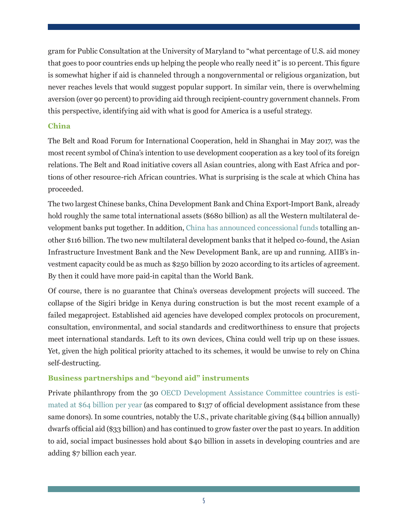gram for Public Consultation at the University of Maryland to "what percentage of U.S. aid money that goes to poor countries ends up helping the people who really need it" is 10 percent. This figure is somewhat higher if aid is channeled through a nongovernmental or religious organization, but never reaches levels that would suggest popular support. In similar vein, there is overwhelming aversion (over 90 percent) to providing aid through recipient-country government channels. From this perspective, identifying aid with what is good for America is a useful strategy.

#### **China**

The Belt and Road Forum for International Cooperation, held in Shanghai in May 2017, was the most recent symbol of China's intention to use development cooperation as a key tool of its foreign relations. The Belt and Road initiative covers all Asian countries, along with East Africa and portions of other resource-rich African countries. What is surprising is the scale at which China has proceeded.

The two largest Chinese banks, China Development Bank and China Export-Import Bank, already hold roughly the same total international assets (\$680 billion) as all the Western multilateral development banks put together. In addition, [China has announced concessional funds](https://www.bu.edu/pardeeschoolfiles/2016/05/Fueling-Growth.FINAL_.version.pdf) totalling another \$116 billion. The two new multilateral development banks that it helped co-found, the Asian Infrastructure Investment Bank and the New Development Bank, are up and running. AIIB's investment capacity could be as much as \$250 billion by 2020 according to its articles of agreement. By then it could have more paid-in capital than the World Bank.

Of course, there is no guarantee that China's overseas development projects will succeed. The collapse of the Sigiri bridge in Kenya during construction is but the most recent example of a failed megaproject. Established aid agencies have developed complex protocols on procurement, consultation, environmental, and social standards and creditworthiness to ensure that projects meet international standards. Left to its own devices, China could well trip up on these issues. Yet, given the high political priority attached to its schemes, it would be unwise to rely on China self-destructing.

#### **Business partnerships and "beyond aid" instruments**

Private philanthropy from the 30 [OECD Development Assistance Committee countries is esti](https://s3.amazonaws.com/media.hudson.org/files/publications/201703IndexofGlobalPhilanthropyandRemittances2016.pdf)[mated at \\$64 billion per year](https://s3.amazonaws.com/media.hudson.org/files/publications/201703IndexofGlobalPhilanthropyandRemittances2016.pdf) (as compared to \$137 of official development assistance from these same donors). In some countries, notably the U.S., private charitable giving (\$44 billion annually) dwarfs official aid (\$33 billion) and has continued to grow faster over the past 10 years. In addition to aid, social impact businesses hold about \$40 billion in assets in developing countries and are adding \$7 billion each year.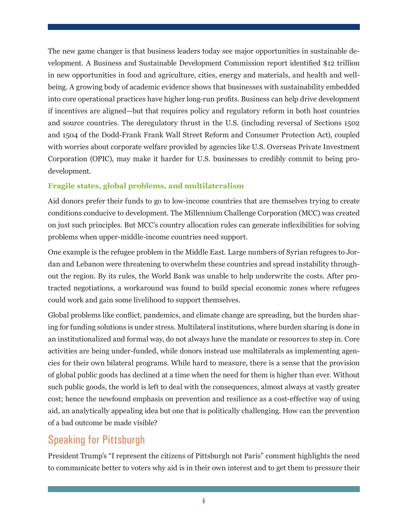The new game changer is that business leaders today see major opportunities in sustainable development. A Business and Sustainable Development Commission report identified \$12 trillion in new opportunities in food and agriculture, cities, energy and materials, and health and wellbeing. A growing body of academic evidence shows that businesses with sustainability embedded into core operational practices have higher long-run profits. Business can help drive development if incentives are aligned—but that requires policy and regulatory reform in both host countries and source countries. The deregulatory thrust in the U.S. (including reversal of Sections 1502 and 1504 of the Dodd-Frank Frank Wall Street Reform and Consumer Protection Act), coupled with worries about corporate welfare provided by agencies like U.S. Overseas Private Investment Corporation (OPIC), may make it harder for U.S. businesses to credibly commit to being prodevelopment.

#### **Fragile states, global problems, and multilateralism**

Aid donors prefer their funds to go to low-income countries that are themselves trying to create conditions conducive to development. The Millennium Challenge Corporation (MCC) was created on just such principles. But MCC's country allocation rules can generate inflexibilities for solving problems when upper-middle-income countries need support.

One example is the refugee problem in the Middle East. Large numbers of Syrian refugees to Jordan and Lebanon were threatening to overwhelm these countries and spread instability throughout the region. By its rules, the World Bank was unable to help underwrite the costs. After protracted negotiations, a workaround was found to build special economic zones where refugees could work and gain some livelihood to support themselves.

Global problems like conflict, pandemics, and climate change are spreading, but the burden sharing for funding solutions is under stress. Multilateral institutions, where burden sharing is done in an institutionalized and formal way, do not always have the mandate or resources to step in. Core activities are being under-funded, while donors instead use multilaterals as implementing agencies for their own bilateral programs. While hard to measure, there is a sense that the provision of global public goods has declined at a time when the need for them is higher than ever. Without such public goods, the world is left to deal with the consequences, almost always at vastly greater cost; hence the newfound emphasis on prevention and resilience as a cost-effective way of using aid, an analytically appealing idea but one that is politically challenging. How can the prevention of a bad outcome be made visible?

## Speaking for Pittsburgh

President Trump's "I represent the citizens of Pittsburgh not Paris" comment highlights the need to communicate better to voters why aid is in their own interest and to get them to pressure their